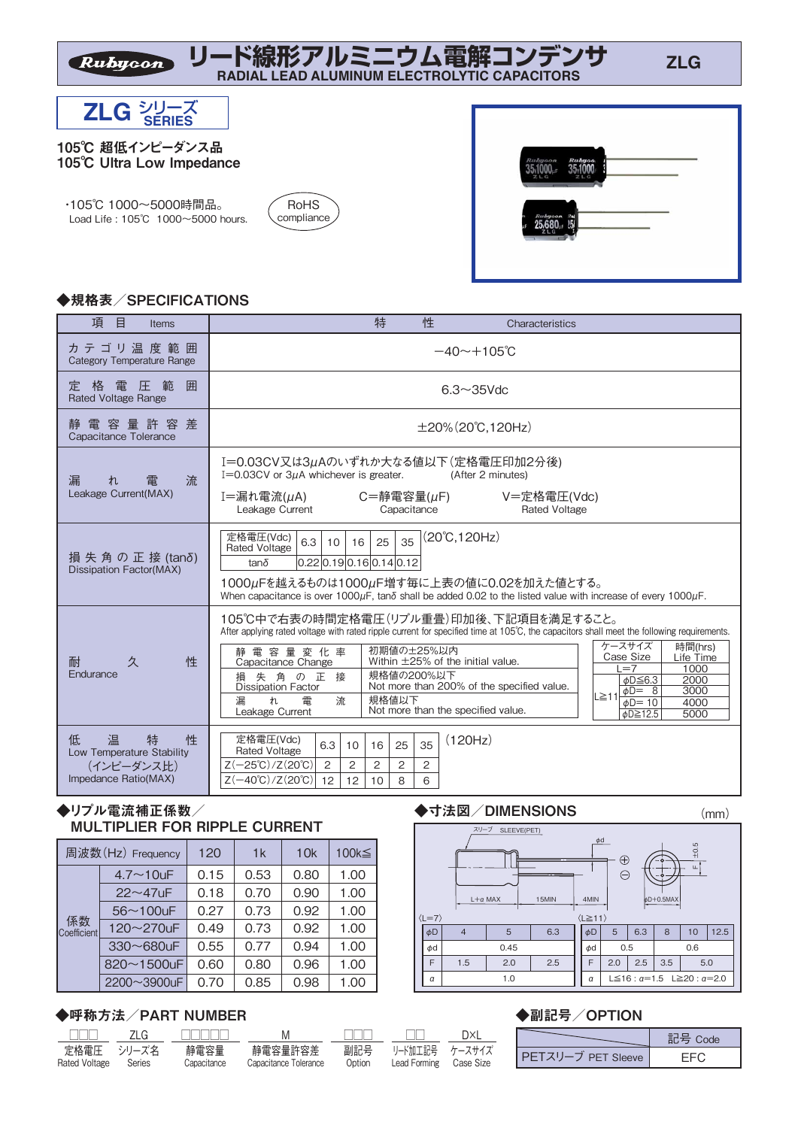**リード線形アルミニウム電解コンデンサ RADIAL LEAD ALUMINUM ELECTROLYTIC CAPACITORS**



Rubycon

 ・105℃ 1000~5000時間品。 Load Life : 105℃ 1000~5000 hours.



| Rubycon<br>z           | <b>Rubyco</b><br>L G<br>z |  |
|------------------------|---------------------------|--|
| Rubycon Ra<br>o<br>716 |                           |  |

# ◆規格表/SPECIFICATIONS

| 項<br>目<br><b>Items</b>                                                              | 特<br>性<br>Characteristics                                                                                                                                                                                                                                                                                                                                                                                                                                                                                                                                                                                                                     |
|-------------------------------------------------------------------------------------|-----------------------------------------------------------------------------------------------------------------------------------------------------------------------------------------------------------------------------------------------------------------------------------------------------------------------------------------------------------------------------------------------------------------------------------------------------------------------------------------------------------------------------------------------------------------------------------------------------------------------------------------------|
| カ テ ゴ リ 温 度 範 囲<br>Category Temperature Range                                       | $-40 \sim +105$ °C                                                                                                                                                                                                                                                                                                                                                                                                                                                                                                                                                                                                                            |
| 格 電 圧 範<br>囲<br>定<br><b>Rated Voltage Range</b>                                     | $6.3 \sim 35$ Vdc                                                                                                                                                                                                                                                                                                                                                                                                                                                                                                                                                                                                                             |
| 電 容 量 許 容 差<br>静<br>Capacitance Tolerance                                           | $\pm 20\%$ (20°C, 120Hz)                                                                                                                                                                                                                                                                                                                                                                                                                                                                                                                                                                                                                      |
| 漏<br>流<br>雷<br>れ<br>Leakage Current(MAX)                                            | I=0.03CV又は3μAのいずれか大なる値以下(定格電圧印加2分後)<br>$I=0.03CV$ or $3\mu A$ whichever is greater.<br>(After 2 minutes)<br>I=漏れ電流(µA)<br>$C = \frac{256}{25}$ 雷容量( $\mu$ F)<br>V=定格電圧(Vdc)<br>Leakage Current<br>Capacitance<br><b>Rated Voltage</b>                                                                                                                                                                                                                                                                                                                                                                                                         |
| 損 失 角 の 正 接 (tanδ)<br><b>Dissipation Factor(MAX)</b>                                | 定格電圧(Vdc)<br>$(20^{\circ}C, 120Hz)$<br>6.3<br>35<br>25<br>16<br>10<br><b>Rated Voltage</b><br>[0.22]0.19]0.16]0.14]0.12<br>$tan\delta$<br>1000µFを越えるものは1000µF増す毎に上表の値に0.02を加えた値とする。<br>When capacitance is over 1000 $\mu$ F, tan $\delta$ shall be added 0.02 to the listed value with increase of every 1000 $\mu$ F.                                                                                                                                                                                                                                                                                                                       |
| 久<br>性<br>耐<br>Endurance                                                            | 105℃中で右表の時間定格電圧(リプル重畳)印加後、下記項目を満足すること。<br>After applying rated voltage with rated ripple current for specified time at 105°C, the capacitors shall meet the following requirements.<br>ケースサイズ<br>時間(hrs)<br>初期値の±25%以内<br>静電容量変化率<br>Case Size<br>Life Time<br>Within ±25% of the initial value.<br>Capacitance Change<br>$=7$<br>1000<br>規格値の200%以下<br>失角の正接<br>椙<br>2000<br>$\phi$ D $\leq$ 6.3<br>Not more than 200% of the specified value.<br><b>Dissipation Factor</b><br>3000<br>$\phi$ D= 8<br>L≧11<br>規格値以下<br>流<br>漏<br>れ<br>雷<br>$\phi D = 10$<br>4000<br>Not more than the specified value.<br>Leakage Current<br>5000<br>¢D≧12.5 |
| 低<br>温<br>特<br>性<br>Low Temperature Stability<br>(インピーダンス比)<br>Impedance Ratio(MAX) | (120Hz)<br>定格電圧(Vdc)<br>35<br>6.3<br>25<br>16<br>10<br><b>Rated Voltage</b><br>$Z(-25^{\circ}C)/Z(20^{\circ}C)$<br>2<br>2<br>2<br>$\overline{2}$<br>2<br>$Z(-40^{\circ}C)/Z(20^{\circ}C)$<br>12 <sup>2</sup><br>12<br>8<br>6<br>10                                                                                                                                                                                                                                                                                                                                                                                                            |

# ◆リプル電流補正係数/ MULTIPLIER FOR RIPPLE CURRENT

| 周波数(Hz) Frequency |                  | 120  | 1k   | 10k  | 100k≦ |  |
|-------------------|------------------|------|------|------|-------|--|
|                   | $4.7 \sim 10$ uF | 0.15 | 0.53 | 0.80 | 1.00  |  |
|                   | $22 - 47$ uF     | 0.18 | 0.70 | 0.90 | 1.00  |  |
|                   | $56 - 100$ uF    | 0.27 | 0.73 | 0.92 | 1.00  |  |
| 係数<br>Coefficient | 120~270uF        | 0.49 | 0.73 | 0.92 | 1.00  |  |
|                   | $330 - 680$ uF   | 0.55 | 0.77 | 0.94 | 1.00  |  |
|                   | $820 - 1500$ uF  | 0.60 | 0.80 | 0.96 | 1.00  |  |
|                   | 2200~3900uF      | 0.70 | 0.85 | 0.98 | 1.00  |  |

### ◆呼称方法/PART NUMBER

| $\mathbb{I}$                | ZLG    |                     | M                                | $\mathbb{L}$  |                                | וxר       |           |
|-----------------------------|--------|---------------------|----------------------------------|---------------|--------------------------------|-----------|-----------|
| 定格電圧 シリーズ名<br>Rated Voltage | Series | 静電容量<br>Capacitance | 静電容量許容差<br>Capacitance Tolerance | 副記号<br>Option | リード加工記号 ケースサイズ<br>Lead Forming | Case Size | $PFTZU-7$ |

#### ◆寸法図/DIMENSIONS



| スリーブ<br>SLEEVE(PET)<br>$L + a$ MAX<br>15MIN<br>$\vert \langle$ L=7 $\rangle$ |    |                |      |     |                                                           | $\phi$ d<br>$_{\oplus}$<br>⊖<br>4MIN<br>$\langle L \ge 11 \rangle$ |     | ۰o<br>$bD+0.5$ MAX | $\pm 0.5$<br>$\mathbf{L}$ |      |
|------------------------------------------------------------------------------|----|----------------|------|-----|-----------------------------------------------------------|--------------------------------------------------------------------|-----|--------------------|---------------------------|------|
|                                                                              | φD | $\overline{4}$ | 5    | 6.3 | φD                                                        | 5                                                                  | 6.3 | 8                  | 10                        | 12.5 |
|                                                                              | φd |                | 0.45 | φd  | 0.5                                                       |                                                                    |     | 0.6                |                           |      |
|                                                                              | F  | 1.5            | 2.0  | F   | 2.5<br>2.0<br>3.5                                         |                                                                    |     |                    | 5.0                       |      |
|                                                                              | α  |                | 1.0  | α   | L $\leq$ 16 : $\alpha$ = 1.5 L $\geq$ 20 : $\alpha$ = 2.0 |                                                                    |     |                    |                           |      |

#### ◆副記号/OPTION

|                    | 타복 Code |
|--------------------|---------|
| PETスリーブ PET Sleeve |         |